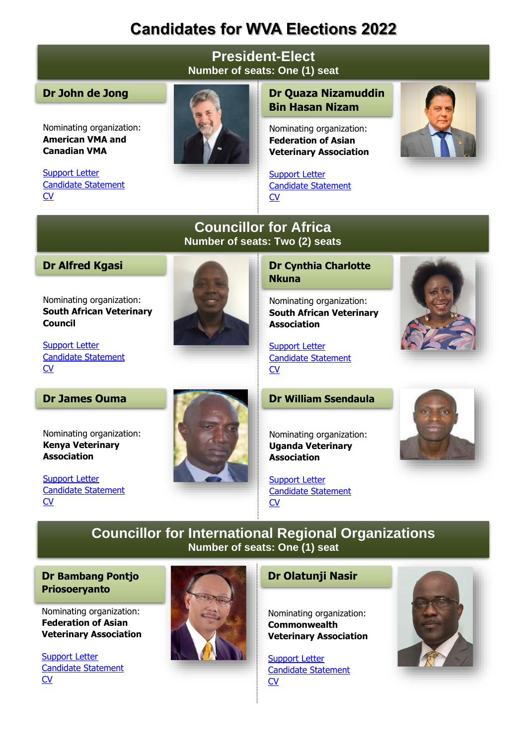# **Candidates for WVA Elections 2022**

### **President-Elect Number of seats: One (1) seat**

#### **Dr John de Jong**

Nominating organization: **American VMA and Canadian VMA**

[Support Letter](http://www.worldvet.org/uploads/docs/1_john_de_jong.pdf) [Candidate Statement](http://www.worldvet.org/uploads/docs/1_john_de_jong.pdf) [CV](http://www.worldvet.org/uploads/docs/1_john_de_jong.pdf)



## **Dr Quaza Nizamuddin Bin Hasan Nizam**

Nominating organization: **Federation of Asian Veterinary Association**

[Support Letter](http://www.worldvet.org/uploads/docs/1_quaza.pdf) [Candidate Statement](http://www.worldvet.org/uploads/docs/1_quaza.pdf) [CV](http://www.worldvet.org/uploads/docs/1_quaza.pdf)



## **Councillor for Africa Number of seats: Two (2) seats**

#### **Dr Alfred Kgasi**

Nominating organization: **South African Veterinary Council**



#### **Dr Cynthia Charlotte Nkuna**

Nominating organization: **South African Veterinary Association**

[Support Letter](http://www.worldvet.org/uploads/docs/4__cynthia_charlotte_nkuna.pdf) [Candidate Statement](http://www.worldvet.org/uploads/docs/4__cynthia_charlotte_nkuna.pdf) [CV](http://www.worldvet.org/uploads/docs/4__cynthia_charlotte_nkuna.pdf)

#### **Dr James Ouma**

[Support Letter](http://www.worldvet.org/uploads/docs/3_a_kgasi.pdf) [Candidate Statement](http://www.worldvet.org/uploads/docs/3_a_kgasi.pdf)

[CV](http://www.worldvet.org/uploads/docs/3_a_kgasi.pdf)

Nominating organization: **Kenya Veterinary Association**

[Support Letter](http://www.worldvet.org/uploads/docs/5_james_ouma.pdf) [Candidate Statement](http://www.worldvet.org/uploads/docs/5_james_ouma.pdf) [CV](http://www.worldvet.org/uploads/docs/5_james_ouma.pdf)



#### **Dr William Ssendaula**

Nominating organization: **Uganda Veterinary Association**

[Support Letter](http://www.worldvet.org/uploads/docs/6_william_ssendaula.pdf) [Candidate Statement](http://www.worldvet.org/uploads/docs/6_william_ssendaula.pdf) [CV](http://www.worldvet.org/uploads/docs/6_william_ssendaula.pdf)



# **Councillor for International Regional Organizations Number of seats: One (1) seat**

#### **Dr Bambang Pontjo Priosoeryanto**

Nominating organization: **Federation of Asian Veterinary Association**

[Support Letter](http://www.worldvet.org/uploads/docs/21_bambang_pontjo_priosoeryanto.pdf) [Candidate Statement](http://www.worldvet.org/uploads/docs/21_bambang_pontjo_priosoeryanto.pdf) [CV](http://www.worldvet.org/uploads/docs/21_bambang_pontjo_priosoeryanto.pdf)



#### **Dr Olatunji Nasir**

Nominating organization: **Commonwealth Veterinary Association**

[Support Letter](http://www.worldvet.org/uploads/docs/20_olatunji_nasir.pdf) [Candidate Statement](http://www.worldvet.org/uploads/docs/20_olatunji_nasir.pdf) [CV](http://www.worldvet.org/uploads/docs/20_olatunji_nasir.pdf)

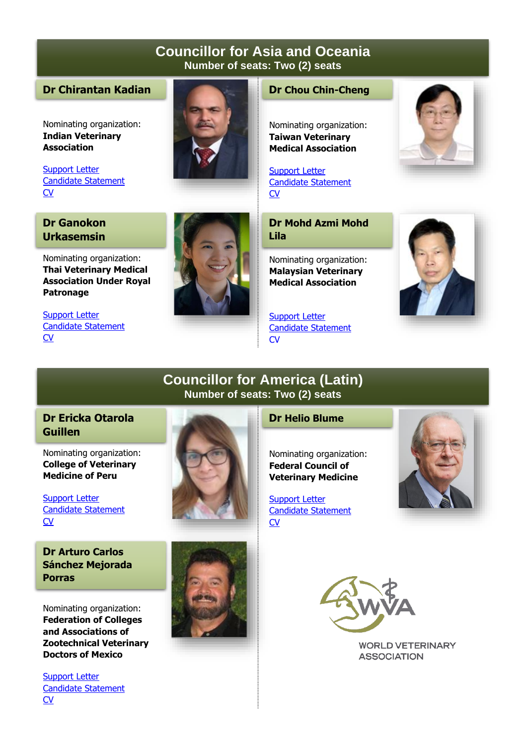## **Councillor for Asia and Oceania Number of seats: Two (2) seats**

#### **Dr Chirantan Kadian**

Nominating organization: **Indian Veterinary Association**

[Support Letter](http://www.worldvet.org/uploads/docs/7_kadian.pdf) [Candidate Statement](http://www.worldvet.org/uploads/docs/7_kadian.pdf) [CV](http://www.worldvet.org/uploads/docs/7_kadian.pdf)

#### **Dr Ganokon Urkasemsin**

Nominating organization: **Thai Veterinary Medical Association Under Royal Patronage**

[Support Letter](http://www.worldvet.org/uploads/docs/9_ganokon.pdf) [Candidate Statement](http://www.worldvet.org/uploads/docs/9_ganokon.pdf) [CV](http://www.worldvet.org/uploads/docs/9_ganokon.pdf)



#### **Dr Chou Chin-Cheng**

Nominating organization: **Taiwan Veterinary Medical Association**

[Support Letter](http://www.worldvet.org/uploads/docs/8_chou_chin.pdf) [Candidate Statement](http://www.worldvet.org/uploads/docs/8_chou_chin.pdf) **[CV](http://www.worldvet.org/uploads/docs/8_chou_chin.pdf)** 

**Dr Mohd Azmi Mohd Lila**

Nominating organization: **Malaysian Veterinary Medical Association**

[Support Letter](http://www.worldvet.org/uploads/docs/10_mohd_azmi_mohd_lila.pdf) [Candidate Statement](http://www.worldvet.org/uploads/docs/10_mohd_azmi_mohd_lila.pdf) **[CV](http://www.worldvet.org/uploads/docs/10_mohd_azmi_mohd_lila.pdf)** 





# **Councillor for America (Latin) Number of seats: Two (2) seats**

#### **Dr Ericka Otarola Guillen**

Nominating organization: **College of Veterinary Medicine of Peru**

[Support Letter](http://www.worldvet.org/uploads/docs/11_erika_otarola.pdf) [Candidate Statement](http://www.worldvet.org/uploads/docs/11_erika_otarola.pdf) **[CV](http://www.worldvet.org/uploads/docs/11_erika_otarola.pdf)** 

**Dr Arturo Carlos Sánchez Mejorada Porras** 

Nominating organization: **Federation of Colleges and Associations of Zootechnical Veterinary Doctors of Mexico**

[Support Letter](http://www.worldvet.org/uploads/docs/12_arturo_carlos.pdf) [Candidate Statement](http://www.worldvet.org/uploads/docs/12_arturo_carlos.pdf) **[CV](http://www.worldvet.org/uploads/docs/12_arturo_carlos.pdf)** 



#### **Dr Helio Blume**

Nominating organization: **Federal Council of Veterinary Medicine**

[Support Letter](http://www.worldvet.org/uploads/docs/13_helio_blume.pdf) [Candidate Statement](http://www.worldvet.org/uploads/docs/13_helio_blume.pdf)  $\overline{\text{CV}}$  $\overline{\text{CV}}$  $\overline{\text{CV}}$ 







**WORLD VETERINARY ASSOCIATION**